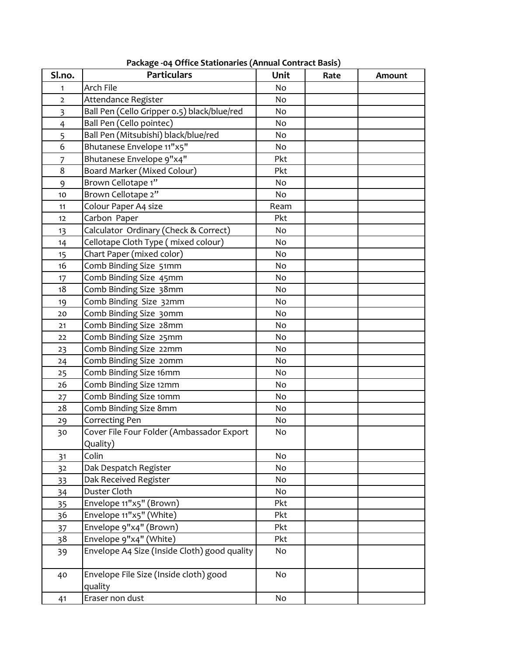| Sl.no.         | <b>Particulars</b>                                | Unit | Rate | Amount |
|----------------|---------------------------------------------------|------|------|--------|
| 1              | Arch File                                         | No   |      |        |
| $\overline{2}$ | Attendance Register                               | No   |      |        |
| $\overline{3}$ | Ball Pen (Cello Gripper 0.5) black/blue/red       | No   |      |        |
| $\overline{4}$ | Ball Pen (Cello pointec)                          | No   |      |        |
| 5              | Ball Pen (Mitsubishi) black/blue/red              | No   |      |        |
| 6              | Bhutanese Envelope 11"x5"                         | No   |      |        |
| $\overline{7}$ | Bhutanese Envelope 9"x4"                          | Pkt  |      |        |
| 8              | Board Marker (Mixed Colour)                       | Pkt  |      |        |
| 9              | Brown Cellotape 1"                                | No   |      |        |
| 10             | Brown Cellotape 2"                                | No   |      |        |
| 11             | Colour Paper A4 size                              | Ream |      |        |
| 12             | Carbon Paper                                      | Pkt  |      |        |
| 13             | Calculator Ordinary (Check & Correct)             | No   |      |        |
| 14             | Cellotape Cloth Type (mixed colour)               | No   |      |        |
| 15             | Chart Paper (mixed color)                         | No   |      |        |
| 16             | Comb Binding Size 51mm                            | No   |      |        |
| 17             | Comb Binding Size 45mm                            | No   |      |        |
| 18             | Comb Binding Size 38mm                            | No   |      |        |
| 19             | Comb Binding Size 32mm                            | No   |      |        |
| 20             | Comb Binding Size 30mm                            | No   |      |        |
| 21             | Comb Binding Size 28mm                            | No   |      |        |
| 22             | Comb Binding Size 25mm                            | No   |      |        |
| 23             | Comb Binding Size 22mm                            | No   |      |        |
| 24             | Comb Binding Size 20mm                            | No   |      |        |
| 25             | Comb Binding Size 16mm                            | No   |      |        |
| 26             | Comb Binding Size 12mm                            | No   |      |        |
| 27             | Comb Binding Size 10mm                            | No   |      |        |
| 28             | Comb Binding Size 8mm                             | No   |      |        |
| 29             | Correcting Pen                                    | No   |      |        |
| 30             | Cover File Four Folder (Ambassador Export         | No   |      |        |
|                | Quality)                                          |      |      |        |
| 31             | Colin                                             | No   |      |        |
| 32             | Dak Despatch Register                             | No   |      |        |
| 33             | Dak Received Register                             | No   |      |        |
| 34             | Duster Cloth                                      | No   |      |        |
| 35             | Envelope 11"x5" (Brown)                           | Pkt  |      |        |
| 36             | Envelope 11"x5" (White)                           | Pkt  |      |        |
| 37             | Envelope 9"x4" (Brown)                            | Pkt  |      |        |
| 38             | Envelope 9"x4" (White)                            | Pkt  |      |        |
| 39             | Envelope A4 Size (Inside Cloth) good quality      | No   |      |        |
| 40             | Envelope File Size (Inside cloth) good<br>quality | No   |      |        |
| 41             | Eraser non dust                                   | No   |      |        |

**Package ‐04 Office Stationaries (Annual Contract Basis)**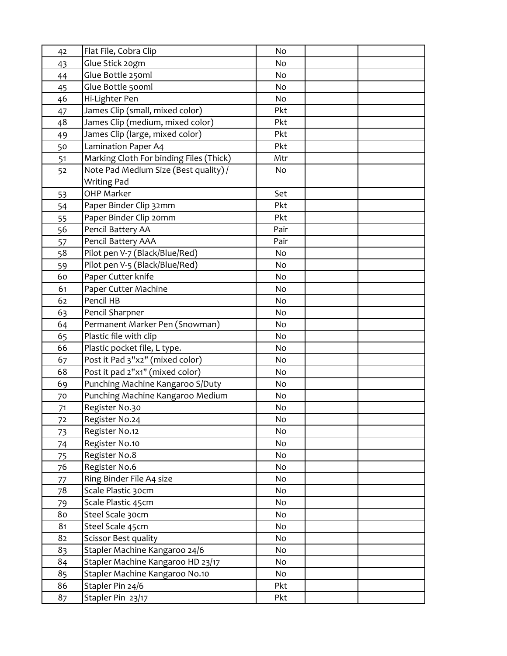| 42             | Flat File, Cobra Clip                   | No   |  |
|----------------|-----------------------------------------|------|--|
| 43             | Glue Stick 20gm                         | No   |  |
| 44             | Glue Bottle 250ml                       | No   |  |
| 45             | Glue Bottle 500ml                       | No   |  |
| 46             | Hi-Lighter Pen                          | No   |  |
| 47             | James Clip (small, mixed color)         | Pkt  |  |
| 48             | James Clip (medium, mixed color)        | Pkt  |  |
| 49             | James Clip (large, mixed color)         | Pkt  |  |
| 50             | Lamination Paper A4                     | Pkt  |  |
| 51             | Marking Cloth For binding Files (Thick) | Mtr  |  |
| 52             | Note Pad Medium Size (Best quality) /   | No   |  |
|                | <b>Writing Pad</b>                      |      |  |
| 53             | <b>OHP Marker</b>                       | Set  |  |
| 54             | Paper Binder Clip 32mm                  | Pkt  |  |
| 55             | Paper Binder Clip 20mm                  | Pkt  |  |
| 56             | Pencil Battery AA                       | Pair |  |
| 57             | Pencil Battery AAA                      | Pair |  |
| 58             | Pilot pen V-7 (Black/Blue/Red)          | No   |  |
| 59             | Pilot pen V-5 (Black/Blue/Red)          | No   |  |
| 60             | Paper Cutter knife                      | No   |  |
| 61             | Paper Cutter Machine                    | No   |  |
| 62             | Pencil HB                               | No   |  |
| 63             | Pencil Sharpner                         | No   |  |
| 64             | Permanent Marker Pen (Snowman)          | No   |  |
| 65             | Plastic file with clip                  | No   |  |
| 66             | Plastic pocket file, L type.            | No   |  |
| 67             | Post it Pad 3"x2" (mixed color)         | No   |  |
| 68             | Post it pad 2"x1" (mixed color)         | No   |  |
| 69             | Punching Machine Kangaroo S/Duty        | No   |  |
| 70             | Punching Machine Kangaroo Medium        | No   |  |
| 71             | Register No.30                          | No   |  |
| 72             | Register No.24                          | No   |  |
| 73             | Register No.12                          | No   |  |
| 74             | Register No.10                          | No   |  |
| 75             | Register No.8                           | No   |  |
| 76             | Register No.6                           | No   |  |
| 77             | Ring Binder File A4 size                | No   |  |
| 78             | Scale Plastic 30cm                      | No   |  |
| 79             | Scale Plastic 45cm                      | No   |  |
| 80             | Steel Scale 30cm                        | No   |  |
| 8 <sub>1</sub> | Steel Scale 45cm                        | No   |  |
| 82             | Scissor Best quality                    | No   |  |
| 83             | Stapler Machine Kangaroo 24/6           | No   |  |
| 84             | Stapler Machine Kangaroo HD 23/17       | No   |  |
| 85             | Stapler Machine Kangaroo No.10          | No   |  |
| 86             | Stapler Pin 24/6                        | Pkt  |  |
| 87             | Stapler Pin 23/17                       | Pkt  |  |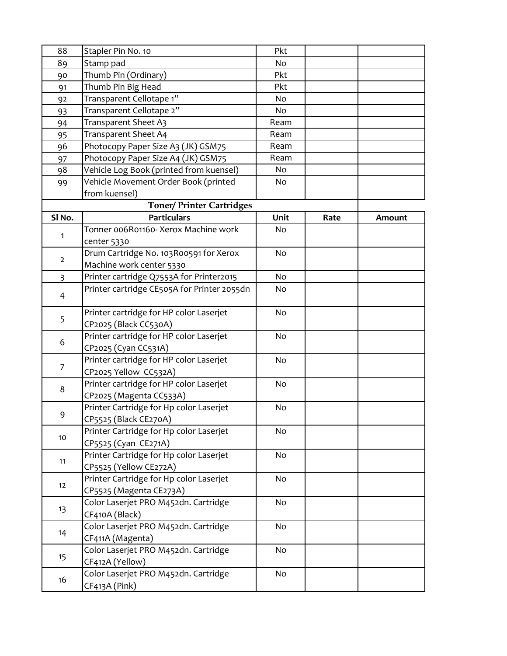| 88             | Stapler Pin No. 10                          | Pkt  |      |        |
|----------------|---------------------------------------------|------|------|--------|
| 89             | Stamp pad                                   | No   |      |        |
| 90             | Thumb Pin (Ordinary)                        | Pkt  |      |        |
| 91             | Thumb Pin Big Head                          | Pkt  |      |        |
| 92             | Transparent Cellotape 1"                    | No   |      |        |
| 93             | Transparent Cellotape 2"                    | No   |      |        |
| 94             | Transparent Sheet A3                        | Ream |      |        |
| 95             | Transparent Sheet A4                        | Ream |      |        |
| 96             | Photocopy Paper Size A3 (JK) GSM75          | Ream |      |        |
| 97             | Photocopy Paper Size A4 (JK) GSM75          | Ream |      |        |
| 98             | Vehicle Log Book (printed from kuensel)     | No   |      |        |
| 99             | Vehicle Movement Order Book (printed        | No   |      |        |
|                | from kuensel)                               |      |      |        |
|                | <b>Toner/Printer Cartridges</b>             |      |      |        |
| SI No.         | <b>Particulars</b>                          | Unit | Rate | Amount |
|                | Tonner 006R01160- Xerox Machine work        | No   |      |        |
| 1              | center 5330                                 |      |      |        |
|                | Drum Cartridge No. 103R00591 for Xerox      | No   |      |        |
| $\overline{2}$ | Machine work center 5330                    |      |      |        |
| $\overline{3}$ | Printer cartridge Q7553A for Printer2015    | No   |      |        |
|                | Printer cartridge CE505A for Printer 2055dn | No   |      |        |
| 4              |                                             |      |      |        |
|                | Printer cartridge for HP color Laserjet     | No   |      |        |
| 5              | CP2025 (Black CC530A)                       |      |      |        |
| 6              | Printer cartridge for HP color Laserjet     | No   |      |        |
|                | CP2025 (Cyan CC531A)                        |      |      |        |
|                | Printer cartridge for HP color Laserjet     | No   |      |        |
| $\overline{7}$ | CP2025 Yellow CC532A)                       |      |      |        |
| 8              | Printer cartridge for HP color Laserjet     | No   |      |        |
|                | CP2025 (Magenta CC533A)                     |      |      |        |
|                | Printer Cartridge for Hp color Laserjet     | No   |      |        |
| 9              | CP5525 (Black CE270A)                       |      |      |        |
|                | Printer Cartridge for Hp color Laserjet     | No   |      |        |
| 10             | CP5525 (Cyan CE271A)                        |      |      |        |
|                | Printer Cartridge for Hp color Laserjet     | No   |      |        |
| 11             | CP5525 (Yellow CE272A)                      |      |      |        |
|                | Printer Cartridge for Hp color Laserjet     | No   |      |        |
| 12             | CP5525 (Magenta CE273A)                     |      |      |        |
|                | Color Laserjet PRO M452dn. Cartridge        | No   |      |        |
| 13             | CF410A (Black)                              |      |      |        |
| 14             | Color Laserjet PRO M452dn. Cartridge        | No   |      |        |
|                | CF411A (Magenta)                            |      |      |        |
| 15             | Color Laserjet PRO M452dn. Cartridge        | No   |      |        |
|                | CF412A (Yellow)                             |      |      |        |
| 16             | Color Laserjet PRO M452dn. Cartridge        | No   |      |        |
|                | CF413A (Pink)                               |      |      |        |